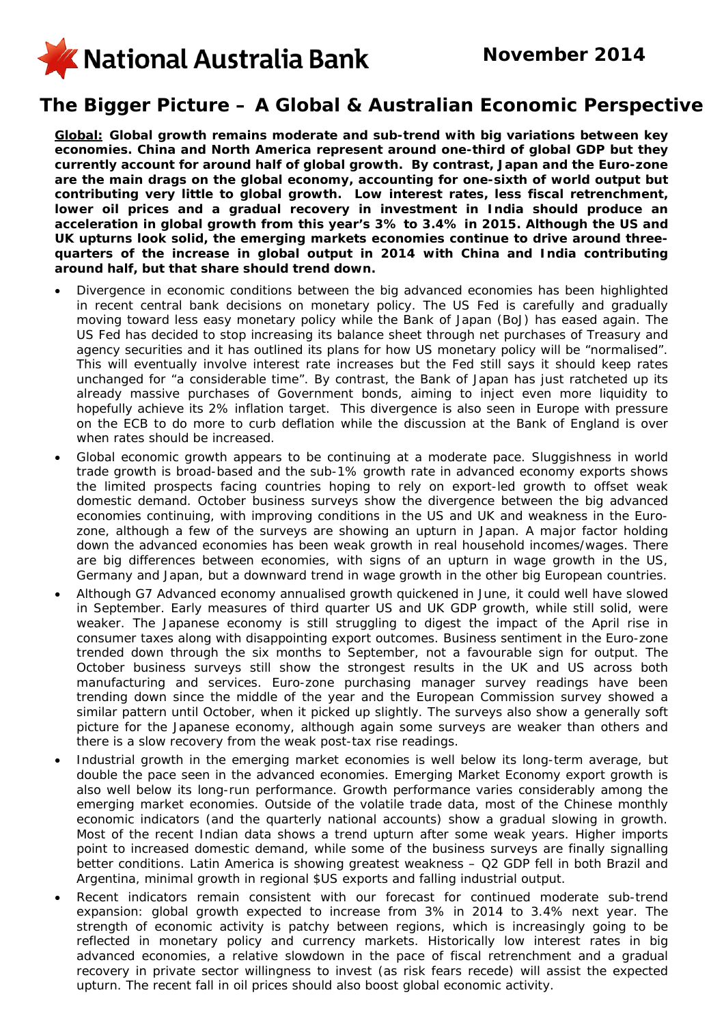

## **The Bigger Picture – A Global & Australian Economic Perspective**

*Global: Global growth remains moderate and sub-trend with big variations between key economies. China and North America represent around one-third of global GDP but they currently account for around half of global growth. By contrast, Japan and the Euro-zone are the main drags on the global economy, accounting for one-sixth of world output but contributing very little to global growth. Low interest rates, less fiscal retrenchment,*  lower oil prices and a gradual recovery in investment in India should produce an *acceleration in global growth from this year's 3% to 3.4% in 2015. Although the US and UK upturns look solid, the emerging markets economies continue to drive around threequarters of the increase in global output in 2014 with China and India contributing around half, but that share should trend down.* 

- Divergence in economic conditions between the big advanced economies has been highlighted in recent central bank decisions on monetary policy. The US Fed is carefully and gradually moving toward less easy monetary policy while the Bank of Japan (BoJ) has eased again. The US Fed has decided to stop increasing its balance sheet through net purchases of Treasury and agency securities and it has outlined its plans for how US monetary policy will be "normalised". This will eventually involve interest rate increases but the Fed still says it should keep rates unchanged for "a considerable time". By contrast, the Bank of Japan has just ratcheted up its already massive purchases of Government bonds, aiming to inject even more liquidity to hopefully achieve its 2% inflation target. This divergence is also seen in Europe with pressure on the ECB to do more to curb deflation while the discussion at the Bank of England is over when rates should be increased.
- Global economic growth appears to be continuing at a moderate pace. Sluggishness in world trade growth is broad-based and the sub-1% growth rate in advanced economy exports shows the limited prospects facing countries hoping to rely on export-led growth to offset weak domestic demand. October business surveys show the divergence between the big advanced economies continuing, with improving conditions in the US and UK and weakness in the Eurozone, although a few of the surveys are showing an upturn in Japan. A major factor holding down the advanced economies has been weak growth in real household incomes/wages. There are big differences between economies, with signs of an upturn in wage growth in the US, Germany and Japan, but a downward trend in wage growth in the other big European countries.
- Although G7 Advanced economy annualised growth quickened in June, it could well have slowed in September. Early measures of third quarter US and UK GDP growth, while still solid, were weaker. The Japanese economy is still struggling to digest the impact of the April rise in consumer taxes along with disappointing export outcomes. Business sentiment in the Euro-zone trended down through the six months to September, not a favourable sign for output. The October business surveys still show the strongest results in the UK and US across both manufacturing and services. Euro-zone purchasing manager survey readings have been trending down since the middle of the year and the European Commission survey showed a similar pattern until October, when it picked up slightly. The surveys also show a generally soft picture for the Japanese economy, although again some surveys are weaker than others and there is a slow recovery from the weak post-tax rise readings.
- Industrial growth in the emerging market economies is well below its long-term average, but double the pace seen in the advanced economies. Emerging Market Economy export growth is also well below its long-run performance. Growth performance varies considerably among the emerging market economies. Outside of the volatile trade data, most of the Chinese monthly economic indicators (and the quarterly national accounts) show a gradual slowing in growth. Most of the recent Indian data shows a trend upturn after some weak years. Higher imports point to increased domestic demand, while some of the business surveys are finally signalling better conditions. Latin America is showing greatest weakness – Q2 GDP fell in both Brazil and Argentina, minimal growth in regional \$US exports and falling industrial output.
- Recent indicators remain consistent with our forecast for continued moderate sub-trend expansion: global growth expected to increase from 3% in 2014 to 3.4% next year. The strength of economic activity is patchy between regions, which is increasingly going to be reflected in monetary policy and currency markets. Historically low interest rates in big advanced economies, a relative slowdown in the pace of fiscal retrenchment and a gradual recovery in private sector willingness to invest (as risk fears recede) will assist the expected upturn. The recent fall in oil prices should also boost global economic activity.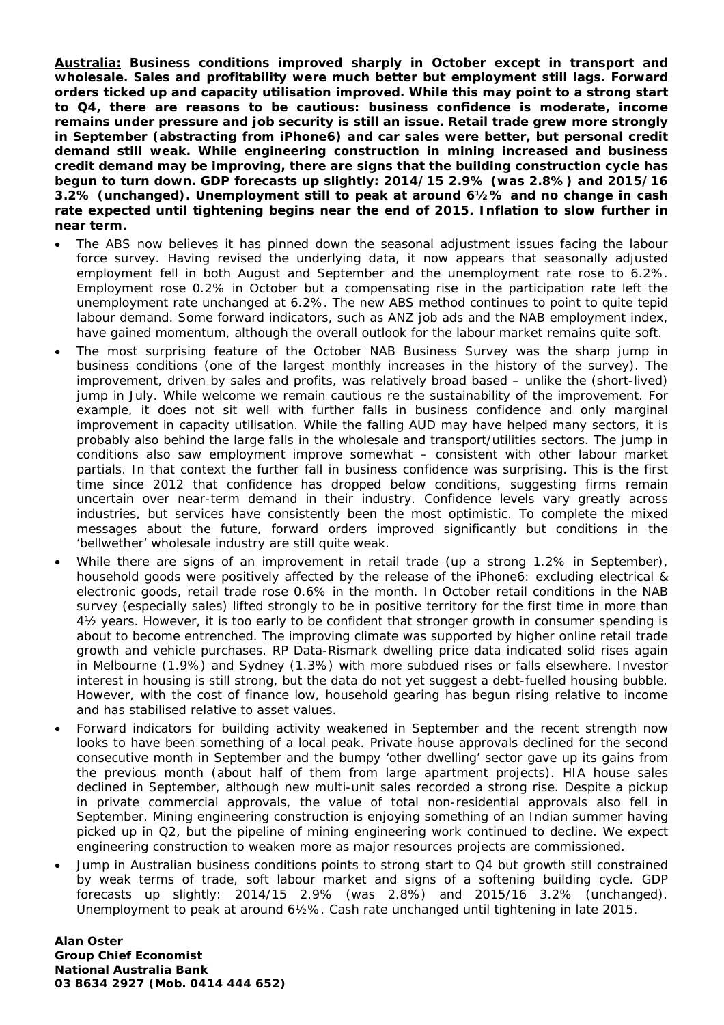*Australia: Business conditions improved sharply in October except in transport and wholesale. Sales and profitability were much better but employment still lags. Forward orders ticked up and capacity utilisation improved. While this may point to a strong start to Q4, there are reasons to be cautious: business confidence is moderate, income remains under pressure and job security is still an issue. Retail trade grew more strongly in September (abstracting from iPhone6) and car sales were better, but personal credit demand still weak. While engineering construction in mining increased and business credit demand may be improving, there are signs that the building construction cycle has begun to turn down. GDP forecasts up slightly: 2014/15 2.9% (was 2.8%) and 2015/16 3.2% (unchanged). Unemployment still to peak at around 6½% and no change in cash rate expected until tightening begins near the end of 2015. Inflation to slow further in near term.*

- The ABS now believes it has pinned down the seasonal adjustment issues facing the labour force survey. Having revised the underlying data, it now appears that seasonally adjusted employment fell in both August and September and the unemployment rate rose to 6.2%. Employment rose 0.2% in October but a compensating rise in the participation rate left the unemployment rate unchanged at 6.2%. The new ABS method continues to point to quite tepid labour demand. Some forward indicators, such as ANZ job ads and the NAB employment index, have gained momentum, although the overall outlook for the labour market remains quite soft.
- The most surprising feature of the October NAB Business Survey was the sharp jump in business conditions (one of the largest monthly increases in the history of the survey). The improvement, driven by sales and profits, was relatively broad based – unlike the (short-lived) jump in July. While welcome we remain cautious re the sustainability of the improvement. For example, it does not sit well with further falls in business confidence and only marginal improvement in capacity utilisation. While the falling AUD may have helped many sectors, it is probably also behind the large falls in the wholesale and transport/utilities sectors. The jump in conditions also saw employment improve somewhat – consistent with other labour market partials. In that context the further fall in business confidence was surprising. This is the first time since 2012 that confidence has dropped below conditions, suggesting firms remain uncertain over near-term demand in their industry. Confidence levels vary greatly across industries, but services have consistently been the most optimistic. To complete the mixed messages about the future, forward orders improved significantly but conditions in the 'bellwether' wholesale industry are still quite weak.
- While there are signs of an improvement in retail trade (up a strong 1.2% in September), household goods were positively affected by the release of the iPhone6: excluding electrical & electronic goods, retail trade rose 0.6% in the month. In October retail conditions in the NAB survey (especially sales) lifted strongly to be in positive territory for the first time in more than 4½ years. However, it is too early to be confident that stronger growth in consumer spending is about to become entrenched. The improving climate was supported by higher online retail trade growth and vehicle purchases. RP Data-Rismark dwelling price data indicated solid rises again in Melbourne (1.9%) and Sydney (1.3%) with more subdued rises or falls elsewhere. Investor interest in housing is still strong, but the data do not yet suggest a debt-fuelled housing bubble. However, with the cost of finance low, household gearing has begun rising relative to income and has stabilised relative to asset values.
- Forward indicators for building activity weakened in September and the recent strength now looks to have been something of a local peak. Private house approvals declined for the second consecutive month in September and the bumpy 'other dwelling' sector gave up its gains from the previous month (about half of them from large apartment projects). HIA house sales declined in September, although new multi-unit sales recorded a strong rise. Despite a pickup in private commercial approvals, the value of total non-residential approvals also fell in September. Mining engineering construction is enjoying something of an Indian summer having picked up in Q2, but the pipeline of mining engineering work continued to decline. We expect engineering construction to weaken more as major resources projects are commissioned.
- Jump in Australian business conditions points to strong start to Q4 but growth still constrained by weak terms of trade, soft labour market and signs of a softening building cycle. GDP forecasts up slightly: 2014/15 2.9% (was 2.8%) and 2015/16 3.2% (unchanged). Unemployment to peak at around 6½%. Cash rate unchanged until tightening in late 2015.